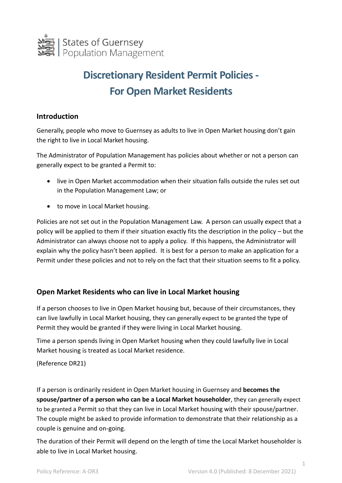

# **Discretionary Resident Permit Policies - For Open Market Residents**

#### **Introduction**

Generally, people who move to Guernsey as adults to live in Open Market housing don't gain the right to live in Local Market housing.

The Administrator of Population Management has policies about whether or not a person can generally expect to be granted a Permit to:

- live in Open Market accommodation when their situation falls outside the rules set out in the Population Management Law; or
- to move in Local Market housing.

Policies are not set out in the Population Management Law. A person can usually expect that a policy will be applied to them if their situation exactly fits the description in the policy – but the Administrator can always choose not to apply a policy. If this happens, the Administrator will explain why the policy hasn't been applied. It is best for a person to make an application for a Permit under these policies and not to rely on the fact that their situation seems to fit a policy.

## **Open Market Residents who can live in Local Market housing**

If a person chooses to live in Open Market housing but, because of their circumstances, they can live lawfully in Local Market housing, they can generally expect to be granted the type of Permit they would be granted if they were living in Local Market housing.

Time a person spends living in Open Market housing when they could lawfully live in Local Market housing is treated as Local Market residence.

(Reference DR21)

If a person is ordinarily resident in Open Market housing in Guernsey and **becomes the spouse/partner of a person who can be a Local Market householder**, they can generally expect to be granted a Permit so that they can live in Local Market housing with their spouse/partner. The couple might be asked to provide information to demonstrate that their relationship as a couple is genuine and on-going.

The duration of their Permit will depend on the length of time the Local Market householder is able to live in Local Market housing.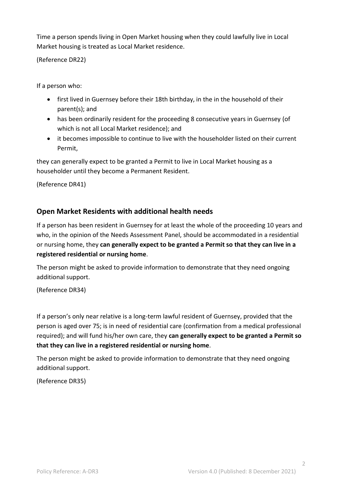Time a person spends living in Open Market housing when they could lawfully live in Local Market housing is treated as Local Market residence.

(Reference DR22)

If a person who:

- first lived in Guernsey before their 18th birthday, in the in the household of their parent(s); and
- has been ordinarily resident for the proceeding 8 consecutive years in Guernsey (of which is not all Local Market residence); and
- it becomes impossible to continue to live with the householder listed on their current Permit,

they can generally expect to be granted a Permit to live in Local Market housing as a householder until they become a Permanent Resident.

(Reference DR41)

## **Open Market Residents with additional health needs**

If a person has been resident in Guernsey for at least the whole of the proceeding 10 years and who, in the opinion of the Needs Assessment Panel, should be accommodated in a residential or nursing home, they **can generally expect to be granted a Permit so that they can live in a registered residential or nursing home**.

The person might be asked to provide information to demonstrate that they need ongoing additional support.

(Reference DR34)

If a person's only near relative is a long-term lawful resident of Guernsey, provided that the person is aged over 75; is in need of residential care (confirmation from a medical professional required); and will fund his/her own care, they **can generally expect to be granted a Permit so that they can live in a registered residential or nursing home**.

The person might be asked to provide information to demonstrate that they need ongoing additional support.

(Reference DR35)

2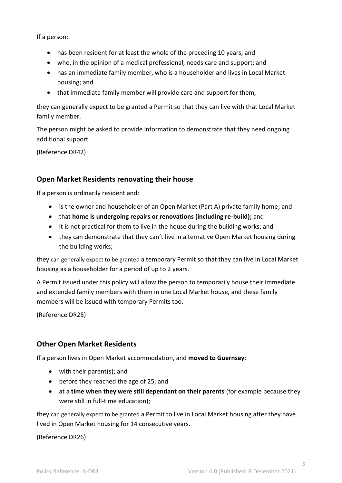If a person:

- has been resident for at least the whole of the preceding 10 years; and
- who, in the opinion of a medical professional, needs care and support; and
- has an immediate family member, who is a householder and lives in Local Market housing; and
- that immediate family member will provide care and support for them,

they can generally expect to be granted a Permit so that they can live with that Local Market family member.

The person might be asked to provide information to demonstrate that they need ongoing additional support.

(Reference DR42)

#### **Open Market Residents renovating their house**

If a person is ordinarily resident and:

- is the owner and householder of an Open Market (Part A) private family home; and
- that **home is undergoing repairs or renovations (including re-build);** and
- it is not practical for them to live in the house during the building works; and
- they can demonstrate that they can't live in alternative Open Market housing during the building works;

they can generally expect to be granted a temporary Permit so that they can live in Local Market housing as a householder for a period of up to 2 years.

A Permit issued under this policy will allow the person to temporarily house their immediate and extended family members with them in one Local Market house, and these family members will be issued with temporary Permits too.

(Reference DR25)

#### **Other Open Market Residents**

If a person lives in Open Market accommodation, and **moved to Guernsey**:

- with their parent(s); and
- before they reached the age of 25; and
- at a **time when they were still dependant on their parents** (for example because they were still in full-time education);

they can generally expect to be granted a Permit to live in Local Market housing after they have lived in Open Market housing for 14 consecutive years.

(Reference DR26)